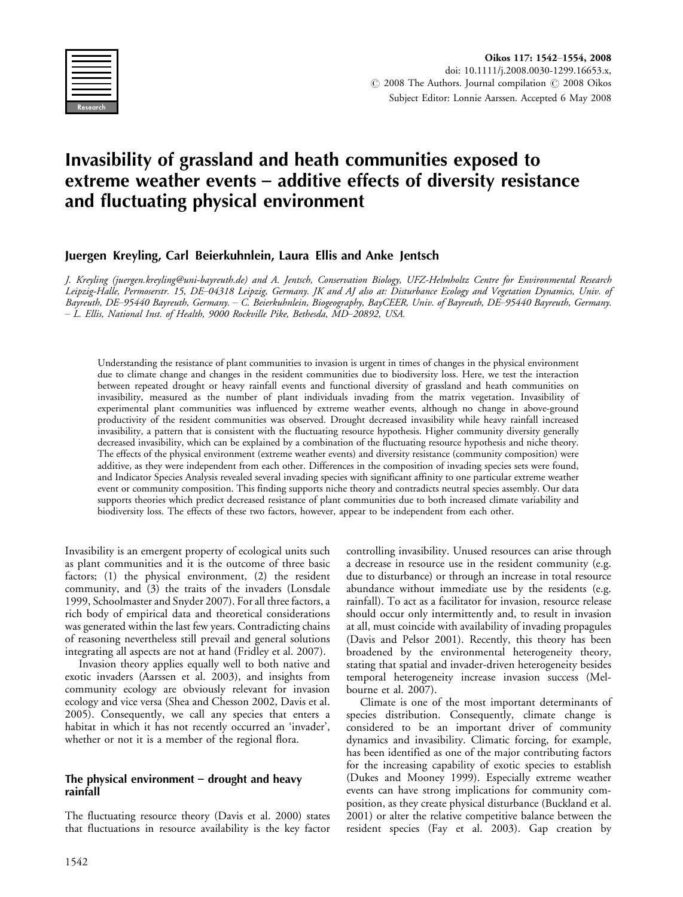| Research |  |
|----------|--|

# Invasibility of grassland and heath communities exposed to extreme weather events  $-$  additive effects of diversity resistance and fluctuating physical environment

# Juergen Kreyling, Carl Beierkuhnlein, Laura Ellis and Anke Jentsch

J. Kreyling (juergen.kreyling@uni-bayreuth.de) and A. Jentsch, Conservation Biology, UFZ-Helmholtz Centre for Environmental Research Leipzig-Halle, Permoserstr. 15, DE–04318 Leipzig, Germany. JK and AJ also at: Disturbance Ecology and Vegetation Dynamics, Univ. of Bayreuth, DE-95440 Bayreuth, Germany. – C. Beierkuhnlein, Biogeography, BayCEER, Univ. of Bayreuth, DE-95440 Bayreuth, Germany.  $-\check{L}$ . Ellis, National Inst. of Health, 9000 Rockville Pike, Bethesda, MD-20892, USA.

Understanding the resistance of plant communities to invasion is urgent in times of changes in the physical environment due to climate change and changes in the resident communities due to biodiversity loss. Here, we test the interaction between repeated drought or heavy rainfall events and functional diversity of grassland and heath communities on invasibility, measured as the number of plant individuals invading from the matrix vegetation. Invasibility of experimental plant communities was influenced by extreme weather events, although no change in above-ground productivity of the resident communities was observed. Drought decreased invasibility while heavy rainfall increased invasibility, a pattern that is consistent with the fluctuating resource hypothesis. Higher community diversity generally decreased invasibility, which can be explained by a combination of the fluctuating resource hypothesis and niche theory. The effects of the physical environment (extreme weather events) and diversity resistance (community composition) were additive, as they were independent from each other. Differences in the composition of invading species sets were found, and Indicator Species Analysis revealed several invading species with significant affinity to one particular extreme weather event or community composition. This finding supports niche theory and contradicts neutral species assembly. Our data supports theories which predict decreased resistance of plant communities due to both increased climate variability and biodiversity loss. The effects of these two factors, however, appear to be independent from each other.

Invasibility is an emergent property of ecological units such as plant communities and it is the outcome of three basic factors; (1) the physical environment, (2) the resident community, and (3) the traits of the invaders (Lonsdale 1999, Schoolmaster and Snyder 2007). For all three factors, a rich body of empirical data and theoretical considerations was generated within the last few years. Contradicting chains of reasoning nevertheless still prevail and general solutions integrating all aspects are not at hand (Fridley et al. 2007).

Invasion theory applies equally well to both native and exotic invaders (Aarssen et al. 2003), and insights from community ecology are obviously relevant for invasion ecology and vice versa (Shea and Chesson 2002, Davis et al. 2005). Consequently, we call any species that enters a habitat in which it has not recently occurred an 'invader', whether or not it is a member of the regional flora.

### The physical environment  $-$  drought and heavy rainfall

The fluctuating resource theory (Davis et al. 2000) states that fluctuations in resource availability is the key factor controlling invasibility. Unused resources can arise through a decrease in resource use in the resident community (e.g. due to disturbance) or through an increase in total resource abundance without immediate use by the residents (e.g. rainfall). To act as a facilitator for invasion, resource release should occur only intermittently and, to result in invasion at all, must coincide with availability of invading propagules (Davis and Pelsor 2001). Recently, this theory has been broadened by the environmental heterogeneity theory, stating that spatial and invader-driven heterogeneity besides temporal heterogeneity increase invasion success (Melbourne et al. 2007).

Climate is one of the most important determinants of species distribution. Consequently, climate change is considered to be an important driver of community dynamics and invasibility. Climatic forcing, for example, has been identified as one of the major contributing factors for the increasing capability of exotic species to establish (Dukes and Mooney 1999). Especially extreme weather events can have strong implications for community composition, as they create physical disturbance (Buckland et al. 2001) or alter the relative competitive balance between the resident species (Fay et al. 2003). Gap creation by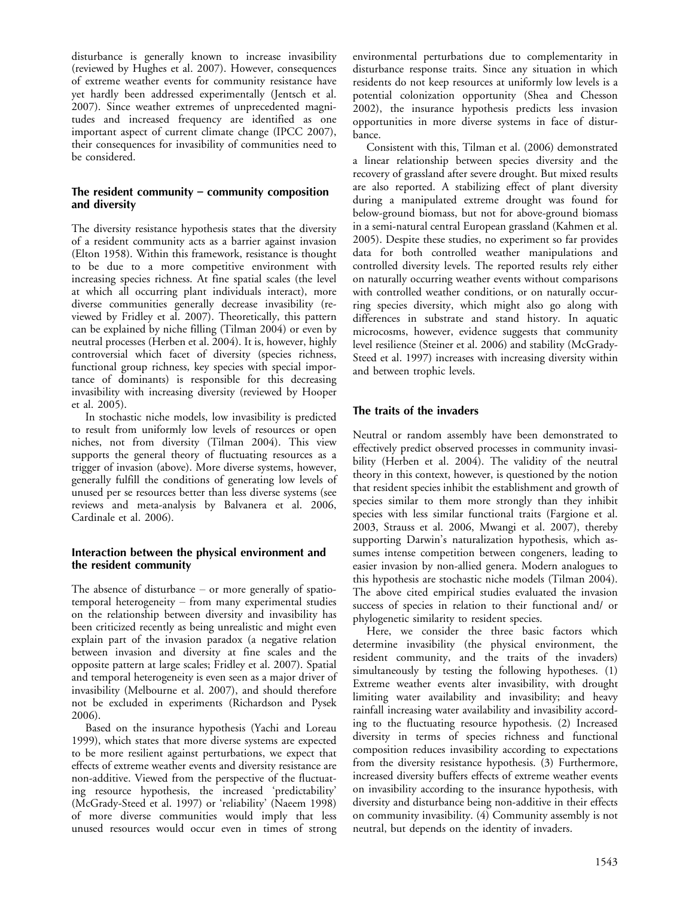disturbance is generally known to increase invasibility (reviewed by Hughes et al. 2007). However, consequences of extreme weather events for community resistance have yet hardly been addressed experimentally (Jentsch et al. 2007). Since weather extremes of unprecedented magnitudes and increased frequency are identified as one important aspect of current climate change (IPCC 2007), their consequences for invasibility of communities need to be considered.

### The resident community  $-$  community composition and diversity

The diversity resistance hypothesis states that the diversity of a resident community acts as a barrier against invasion (Elton 1958). Within this framework, resistance is thought to be due to a more competitive environment with increasing species richness. At fine spatial scales (the level at which all occurring plant individuals interact), more diverse communities generally decrease invasibility (reviewed by Fridley et al. 2007). Theoretically, this pattern can be explained by niche filling (Tilman 2004) or even by neutral processes (Herben et al. 2004). It is, however, highly controversial which facet of diversity (species richness, functional group richness, key species with special importance of dominants) is responsible for this decreasing invasibility with increasing diversity (reviewed by Hooper et al. 2005).

In stochastic niche models, low invasibility is predicted to result from uniformly low levels of resources or open niches, not from diversity (Tilman 2004). This view supports the general theory of fluctuating resources as a trigger of invasion (above). More diverse systems, however, generally fulfill the conditions of generating low levels of unused per se resources better than less diverse systems (see reviews and meta-analysis by Balvanera et al. 2006, Cardinale et al. 2006).

### Interaction between the physical environment and the resident community

The absence of disturbance  $-$  or more generally of spatio $temporal heterogeneity - from many experimental studies$ on the relationship between diversity and invasibility has been criticized recently as being unrealistic and might even explain part of the invasion paradox (a negative relation between invasion and diversity at fine scales and the opposite pattern at large scales; Fridley et al. 2007). Spatial and temporal heterogeneity is even seen as a major driver of invasibility (Melbourne et al. 2007), and should therefore not be excluded in experiments (Richardson and Pysek 2006).

Based on the insurance hypothesis (Yachi and Loreau 1999), which states that more diverse systems are expected to be more resilient against perturbations, we expect that effects of extreme weather events and diversity resistance are non-additive. Viewed from the perspective of the fluctuating resource hypothesis, the increased 'predictability' (McGrady-Steed et al. 1997) or 'reliability' (Naeem 1998) of more diverse communities would imply that less unused resources would occur even in times of strong environmental perturbations due to complementarity in disturbance response traits. Since any situation in which residents do not keep resources at uniformly low levels is a potential colonization opportunity (Shea and Chesson 2002), the insurance hypothesis predicts less invasion opportunities in more diverse systems in face of disturbance.

Consistent with this, Tilman et al. (2006) demonstrated a linear relationship between species diversity and the recovery of grassland after severe drought. But mixed results are also reported. A stabilizing effect of plant diversity during a manipulated extreme drought was found for below-ground biomass, but not for above-ground biomass in a semi-natural central European grassland (Kahmen et al. 2005). Despite these studies, no experiment so far provides data for both controlled weather manipulations and controlled diversity levels. The reported results rely either on naturally occurring weather events without comparisons with controlled weather conditions, or on naturally occurring species diversity, which might also go along with differences in substrate and stand history. In aquatic microcosms, however, evidence suggests that community level resilience (Steiner et al. 2006) and stability (McGrady-Steed et al. 1997) increases with increasing diversity within and between trophic levels.

## The traits of the invaders

Neutral or random assembly have been demonstrated to effectively predict observed processes in community invasibility (Herben et al. 2004). The validity of the neutral theory in this context, however, is questioned by the notion that resident species inhibit the establishment and growth of species similar to them more strongly than they inhibit species with less similar functional traits (Fargione et al. 2003, Strauss et al. 2006, Mwangi et al. 2007), thereby supporting Darwin's naturalization hypothesis, which assumes intense competition between congeners, leading to easier invasion by non-allied genera. Modern analogues to this hypothesis are stochastic niche models (Tilman 2004). The above cited empirical studies evaluated the invasion success of species in relation to their functional and/ or phylogenetic similarity to resident species.

Here, we consider the three basic factors which determine invasibility (the physical environment, the resident community, and the traits of the invaders) simultaneously by testing the following hypotheses. (1) Extreme weather events alter invasibility, with drought limiting water availability and invasibility; and heavy rainfall increasing water availability and invasibility according to the fluctuating resource hypothesis. (2) Increased diversity in terms of species richness and functional composition reduces invasibility according to expectations from the diversity resistance hypothesis. (3) Furthermore, increased diversity buffers effects of extreme weather events on invasibility according to the insurance hypothesis, with diversity and disturbance being non-additive in their effects on community invasibility. (4) Community assembly is not neutral, but depends on the identity of invaders.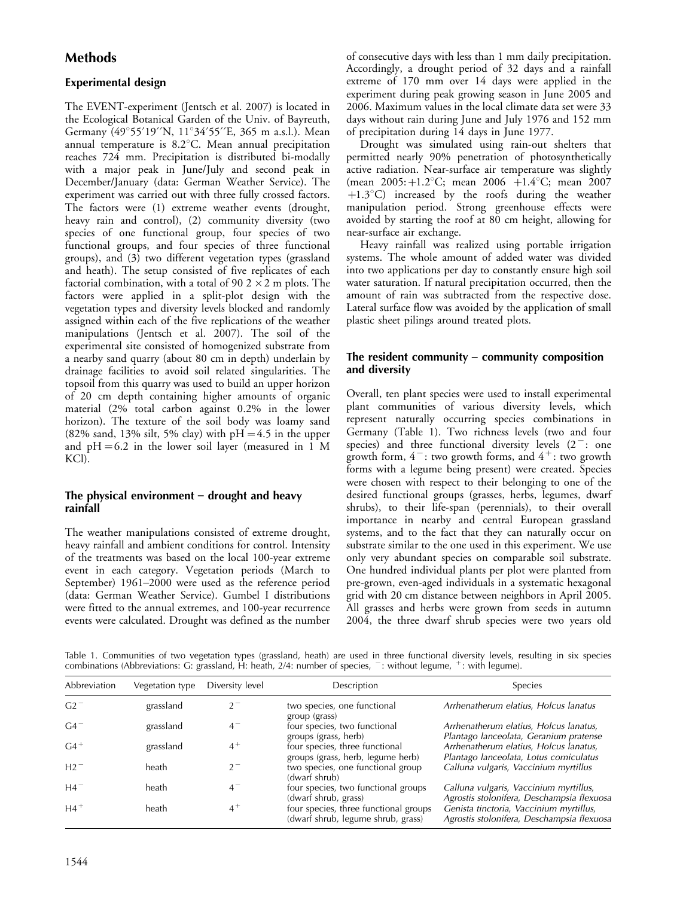# Methods

# Experimental design

The EVENT-experiment (Jentsch et al. 2007) is located in the Ecological Botanical Garden of the Univ. of Bayreuth, Germany (49°55'19"N, 11°34'55"E, 365 m a.s.l.). Mean annual temperature is  $8.2^{\circ}$ C. Mean annual precipitation reaches 724 mm. Precipitation is distributed bi-modally with a major peak in June/July and second peak in December/January (data: German Weather Service). The experiment was carried out with three fully crossed factors. The factors were (1) extreme weather events (drought, heavy rain and control), (2) community diversity (two species of one functional group, four species of two functional groups, and four species of three functional groups), and  $(3)$  two different vegetation types (grassland and heath). The setup consisted of five replicates of each factorial combination, with a total of 90  $2 \times 2$  m plots. The factors were applied in a split-plot design with the vegetation types and diversity levels blocked and randomly assigned within each of the five replications of the weather manipulations (Jentsch et al. 2007). The soil of the experimental site consisted of homogenized substrate from a nearby sand quarry (about 80 cm in depth) underlain by drainage facilities to avoid soil related singularities. The topsoil from this quarry was used to build an upper horizon of 20 cm depth containing higher amounts of organic material (2% total carbon against 0.2% in the lower horizon). The texture of the soil body was loamy sand (82% sand, 13% silt, 5% clay) with  $pH = 4.5$  in the upper and  $pH = 6.2$  in the lower soil layer (measured in 1 M KCl).

### The physical environment  $-$  drought and heavy rainfall

The weather manipulations consisted of extreme drought, heavy rainfall and ambient conditions for control. Intensity of the treatments was based on the local 100-year extreme event in each category. Vegetation periods (March to September) 1961–2000 were used as the reference period (data: German Weather Service). Gumbel I distributions were fitted to the annual extremes, and 100-year recurrence events were calculated. Drought was defined as the number of consecutive days with less than 1 mm daily precipitation. Accordingly, a drought period of 32 days and a rainfall extreme of 170 mm over 14 days were applied in the experiment during peak growing season in June 2005 and 2006. Maximum values in the local climate data set were 33 days without rain during June and July 1976 and 152 mm of precipitation during 14 days in June 1977.

Drought was simulated using rain-out shelters that permitted nearly 90% penetration of photosynthetically active radiation. Near-surface air temperature was slightly (mean  $2005: +1.2^{\circ}C$ ; mean  $2006 +1.4^{\circ}C$ ; mean  $2007$  $+1.3^{\circ}$ C) increased by the roofs during the weather manipulation period. Strong greenhouse effects were avoided by starting the roof at 80 cm height, allowing for near-surface air exchange.

Heavy rainfall was realized using portable irrigation systems. The whole amount of added water was divided into two applications per day to constantly ensure high soil water saturation. If natural precipitation occurred, then the amount of rain was subtracted from the respective dose. Lateral surface flow was avoided by the application of small plastic sheet pilings around treated plots.

### The resident community  $-$  community composition and diversity

Overall, ten plant species were used to install experimental plant communities of various diversity levels, which represent naturally occurring species combinations in Germany (Table 1). Two richness levels (two and four species) and three functional diversity levels  $(2^-:$  one growth form,  $4^-$ : two growth forms, and  $4^+$ : two growth forms with a legume being present) were created. Species were chosen with respect to their belonging to one of the desired functional groups (grasses, herbs, legumes, dwarf shrubs), to their life-span (perennials), to their overall importance in nearby and central European grassland systems, and to the fact that they can naturally occur on substrate similar to the one used in this experiment. We use only very abundant species on comparable soil substrate. One hundred individual plants per plot were planted from pre-grown, even-aged individuals in a systematic hexagonal grid with 20 cm distance between neighbors in April 2005. All grasses and herbs were grown from seeds in autumn 2004, the three dwarf shrub species were two years old

Table 1. Communities of two vegetation types (grassland, heath) are used in three functional diversity levels, resulting in six species combinations (Abbreviations: G: grassland, H: heath, 2/4: number of species,  $^{-}$ : without legume,  $^{+}$ : with legume).

| Abbreviation      | Vegetation type | Diversity level | Description                                                                 | <b>Species</b>                                                                        |
|-------------------|-----------------|-----------------|-----------------------------------------------------------------------------|---------------------------------------------------------------------------------------|
| $G2$ <sup>-</sup> | grassland       |                 | two species, one functional<br>group (grass)                                | Arrhenatherum elatius, Holcus lanatus                                                 |
| $G4^-$            | grassland       | $4-$            | four species, two functional<br>groups (grass, herb)                        | Arrhenatherum elatius, Holcus lanatus,<br>Plantago lanceolata, Geranium pratense      |
| $G4^+$            | grassland       | $4^+$           | four species, three functional<br>groups (grass, herb, legume herb)         | Arrhenatherum elatius, Holcus lanatus,<br>Plantago lanceolata, Lotus corniculatus     |
| $H2^-$            | heath           |                 | two species, one functional group<br>(dwarf shrub)                          | Calluna vulgaris, Vaccinium myrtillus                                                 |
| $H4^-$            | heath           |                 | four species, two functional groups<br>(dwarf shrub, grass)                 | Calluna vulgaris, Vaccinium myrtillus,<br>Agrostis stolonifera, Deschampsia flexuosa  |
| $H4+$             | heath           | $4^+$           | four species, three functional groups<br>(dwarf shrub, legume shrub, grass) | Genista tinctoria, Vaccinium myrtillus,<br>Agrostis stolonifera, Deschampsia flexuosa |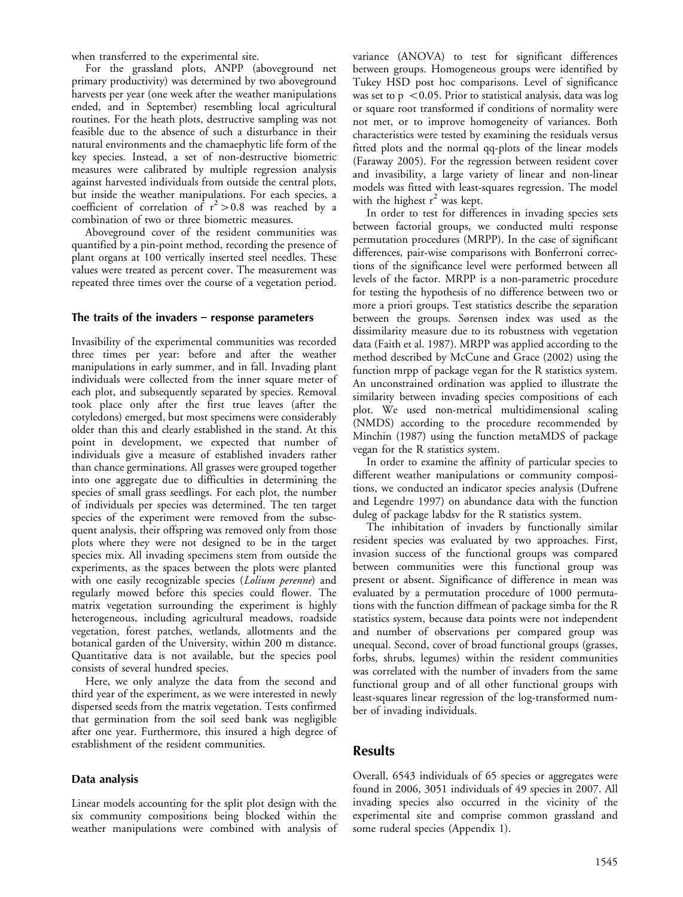when transferred to the experimental site.

For the grassland plots, ANPP (aboveground net primary productivity) was determined by two aboveground harvests per year (one week after the weather manipulations ended, and in September) resembling local agricultural routines. For the heath plots, destructive sampling was not feasible due to the absence of such a disturbance in their natural environments and the chamaephytic life form of the key species. Instead, a set of non-destructive biometric measures were calibrated by multiple regression analysis against harvested individuals from outside the central plots, but inside the weather manipulations. For each species, a coefficient of correlation of  $r^2 > 0.8$  was reached by a combination of two or three biometric measures.

Aboveground cover of the resident communities was quantified by a pin-point method, recording the presence of plant organs at 100 vertically inserted steel needles. These values were treated as percent cover. The measurement was repeated three times over the course of a vegetation period.

#### The traits of the invaders  $-$  response parameters

Invasibility of the experimental communities was recorded three times per year: before and after the weather manipulations in early summer, and in fall. Invading plant individuals were collected from the inner square meter of each plot, and subsequently separated by species. Removal took place only after the first true leaves (after the cotyledons) emerged, but most specimens were considerably older than this and clearly established in the stand. At this point in development, we expected that number of individuals give a measure of established invaders rather than chance germinations. All grasses were grouped together into one aggregate due to difficulties in determining the species of small grass seedlings. For each plot, the number of individuals per species was determined. The ten target species of the experiment were removed from the subsequent analysis, their offspring was removed only from those plots where they were not designed to be in the target species mix. All invading specimens stem from outside the experiments, as the spaces between the plots were planted with one easily recognizable species (Lolium perenne) and regularly mowed before this species could flower. The matrix vegetation surrounding the experiment is highly heterogeneous, including agricultural meadows, roadside vegetation, forest patches, wetlands, allotments and the botanical garden of the University, within 200 m distance. Quantitative data is not available, but the species pool consists of several hundred species.

Here, we only analyze the data from the second and third year of the experiment, as we were interested in newly dispersed seeds from the matrix vegetation. Tests confirmed that germination from the soil seed bank was negligible after one year. Furthermore, this insured a high degree of establishment of the resident communities.

#### Data analysis

Linear models accounting for the split plot design with the six community compositions being blocked within the weather manipulations were combined with analysis of variance (ANOVA) to test for significant differences between groups. Homogeneous groups were identified by Tukey HSD post hoc comparisons. Level of significance was set to  $p < 0.05$ . Prior to statistical analysis, data was log or square root transformed if conditions of normality were not met, or to improve homogeneity of variances. Both characteristics were tested by examining the residuals versus fitted plots and the normal qq-plots of the linear models (Faraway 2005). For the regression between resident cover and invasibility, a large variety of linear and non-linear models was fitted with least-squares regression. The model with the highest  $r^2$  was kept.

In order to test for differences in invading species sets between factorial groups, we conducted multi response permutation procedures (MRPP). In the case of significant differences, pair-wise comparisons with Bonferroni corrections of the significance level were performed between all levels of the factor. MRPP is a non-parametric procedure for testing the hypothesis of no difference between two or more a priori groups. Test statistics describe the separation between the groups. Sørensen index was used as the dissimilarity measure due to its robustness with vegetation data (Faith et al. 1987). MRPP was applied according to the method described by McCune and Grace (2002) using the function mrpp of package vegan for the R statistics system. An unconstrained ordination was applied to illustrate the similarity between invading species compositions of each plot. We used non-metrical multidimensional scaling (NMDS) according to the procedure recommended by Minchin (1987) using the function metaMDS of package vegan for the R statistics system.

In order to examine the affinity of particular species to different weather manipulations or community compositions, we conducted an indicator species analysis (Dufrene and Legendre 1997) on abundance data with the function duleg of package labdsv for the R statistics system.

The inhibitation of invaders by functionally similar resident species was evaluated by two approaches. First, invasion success of the functional groups was compared between communities were this functional group was present or absent. Significance of difference in mean was evaluated by a permutation procedure of 1000 permutations with the function diffmean of package simba for the R statistics system, because data points were not independent and number of observations per compared group was unequal. Second, cover of broad functional groups (grasses, forbs, shrubs, legumes) within the resident communities was correlated with the number of invaders from the same functional group and of all other functional groups with least-squares linear regression of the log-transformed number of invading individuals.

#### **Results**

Overall, 6543 individuals of 65 species or aggregates were found in 2006, 3051 individuals of 49 species in 2007. All invading species also occurred in the vicinity of the experimental site and comprise common grassland and some ruderal species (Appendix 1).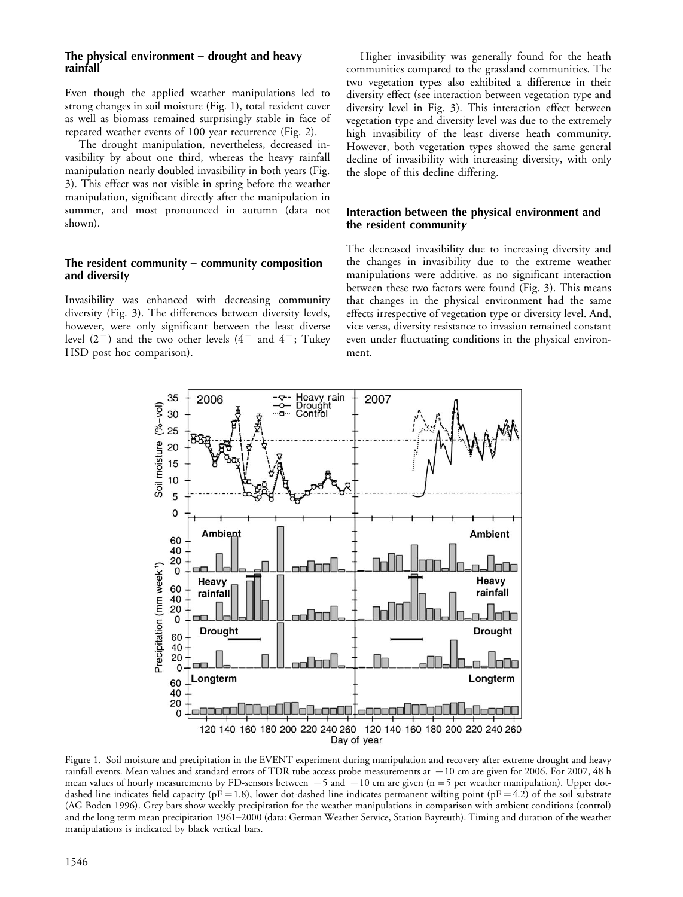#### The physical environment  $-$  drought and heavy rainfall

Even though the applied weather manipulations led to strong changes in soil moisture (Fig. 1), total resident cover as well as biomass remained surprisingly stable in face of repeated weather events of 100 year recurrence (Fig. 2).

The drought manipulation, nevertheless, decreased invasibility by about one third, whereas the heavy rainfall manipulation nearly doubled invasibility in both years (Fig. 3). This effect was not visible in spring before the weather manipulation, significant directly after the manipulation in summer, and most pronounced in autumn (data not shown).

#### The resident community  $-$  community composition and diversity

Invasibility was enhanced with decreasing community diversity (Fig. 3). The differences between diversity levels, however, were only significant between the least diverse level  $(2^-)$  and the two other levels  $(4^-$  and  $4^+$ ; Tukey HSD post hoc comparison).

Higher invasibility was generally found for the heath communities compared to the grassland communities. The two vegetation types also exhibited a difference in their diversity effect (see interaction between vegetation type and diversity level in Fig. 3). This interaction effect between vegetation type and diversity level was due to the extremely high invasibility of the least diverse heath community. However, both vegetation types showed the same general decline of invasibility with increasing diversity, with only the slope of this decline differing.

#### Interaction between the physical environment and the resident community

The decreased invasibility due to increasing diversity and the changes in invasibility due to the extreme weather manipulations were additive, as no significant interaction between these two factors were found (Fig. 3). This means that changes in the physical environment had the same effects irrespective of vegetation type or diversity level. And, vice versa, diversity resistance to invasion remained constant even under fluctuating conditions in the physical environment.



Figure 1. Soil moisture and precipitation in the EVENT experiment during manipulation and recovery after extreme drought and heavy rainfall events. Mean values and standard errors of TDR tube access probe measurements at  $-10$  cm are given for 2006. For 2007, 48 h mean values of hourly measurements by FD-sensors between  $-5$  and  $-10$  cm are given (n = 5 per weather manipulation). Upper dotdashed line indicates field capacity ( $pF=1.8$ ), lower dot-dashed line indicates permanent wilting point ( $pF=4.2$ ) of the soil substrate (AG Boden 1996). Grey bars show weekly precipitation for the weather manipulations in comparison with ambient conditions (control) and the long term mean precipitation 1961-2000 (data: German Weather Service, Station Bayreuth). Timing and duration of the weather manipulations is indicated by black vertical bars.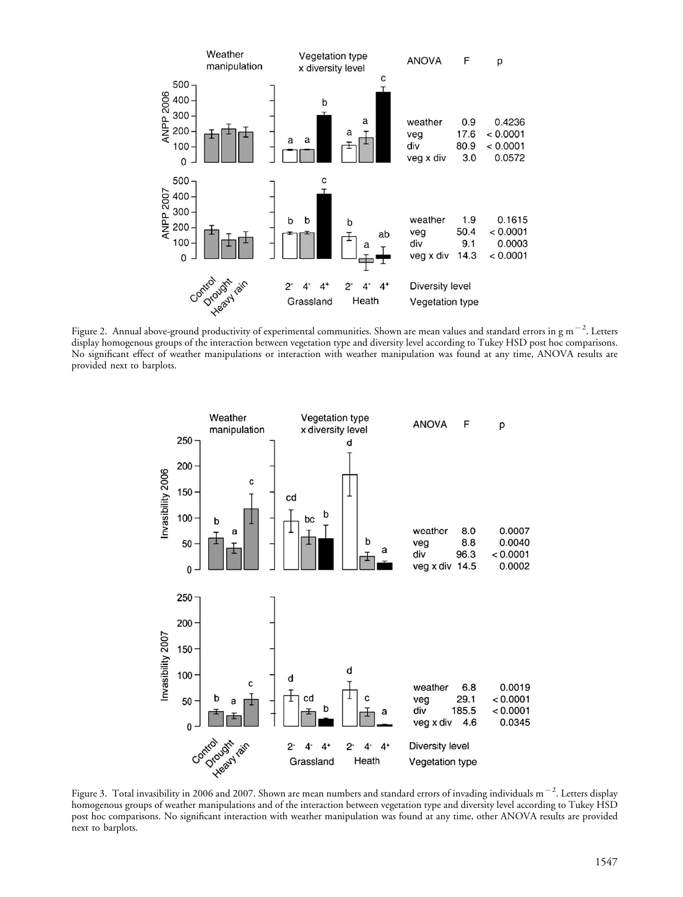

Figure 2. Annual above-ground productivity of experimental communities. Shown are mean values and standard errors in g m $^{-2}$ . Letters display homogenous groups of the interaction between vegetation type and diversity level according to Tukey HSD post hoc comparisons. No significant effect of weather manipulations or interaction with weather manipulation was found at any time, ANOVA results are provided next to barplots.



Figure 3. Total invasibility in 2006 and 2007. Shown are mean numbers and standard errors of invading individuals m<sup>-2</sup>. Letters display homogenous groups of weather manipulations and of the interaction between vegetation type and diversity level according to Tukey HSD post hoc comparisons. No significant interaction with weather manipulation was found at any time, other ANOVA results are provided next to barplots.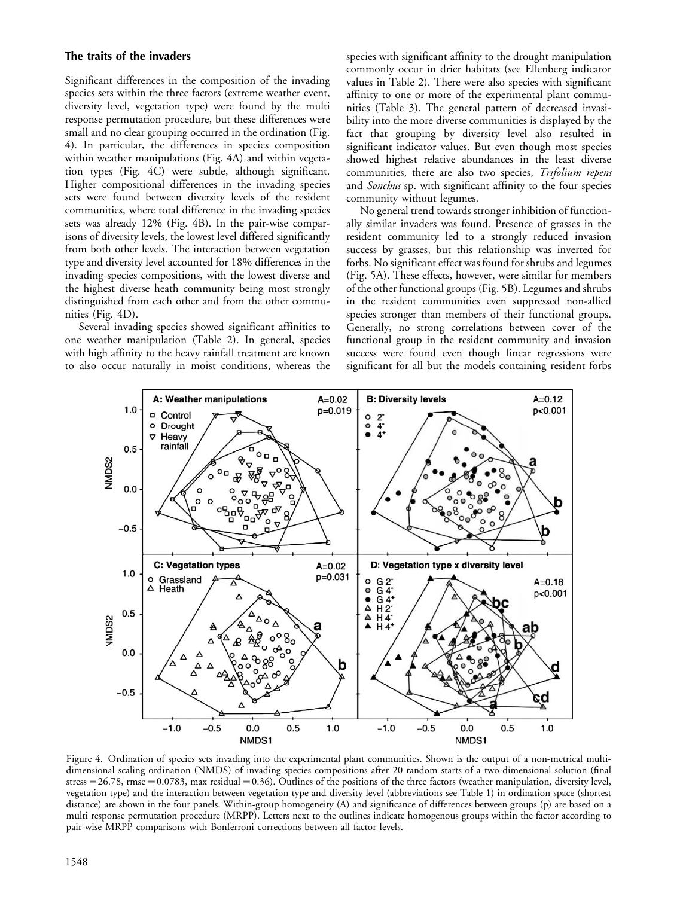#### The traits of the invaders

Significant differences in the composition of the invading species sets within the three factors (extreme weather event, diversity level, vegetation type) were found by the multi response permutation procedure, but these differences were small and no clear grouping occurred in the ordination (Fig. 4). In particular, the differences in species composition within weather manipulations (Fig. 4A) and within vegetation types (Fig. 4C) were subtle, although significant. Higher compositional differences in the invading species sets were found between diversity levels of the resident communities, where total difference in the invading species sets was already 12% (Fig. 4B). In the pair-wise comparisons of diversity levels, the lowest level differed significantly from both other levels. The interaction between vegetation type and diversity level accounted for 18% differences in the invading species compositions, with the lowest diverse and the highest diverse heath community being most strongly distinguished from each other and from the other communities (Fig. 4D).

Several invading species showed significant affinities to one weather manipulation (Table 2). In general, species with high affinity to the heavy rainfall treatment are known to also occur naturally in moist conditions, whereas the species with significant affinity to the drought manipulation commonly occur in drier habitats (see Ellenberg indicator values in Table 2). There were also species with significant affinity to one or more of the experimental plant communities (Table 3). The general pattern of decreased invasibility into the more diverse communities is displayed by the fact that grouping by diversity level also resulted in significant indicator values. But even though most species showed highest relative abundances in the least diverse communities, there are also two species, Trifolium repens and Sonchus sp. with significant affinity to the four species community without legumes.

No general trend towards stronger inhibition of functionally similar invaders was found. Presence of grasses in the resident community led to a strongly reduced invasion success by grasses, but this relationship was inverted for forbs. No significant effect was found for shrubs and legumes (Fig. 5A). These effects, however, were similar for members of the other functional groups (Fig. 5B). Legumes and shrubs in the resident communities even suppressed non-allied species stronger than members of their functional groups. Generally, no strong correlations between cover of the functional group in the resident community and invasion success were found even though linear regressions were significant for all but the models containing resident forbs



Figure 4. Ordination of species sets invading into the experimental plant communities. Shown is the output of a non-metrical multidimensional scaling ordination (NMDS) of invading species compositions after 20 random starts of a two-dimensional solution (final  $stress = 26.78$ , rmse = 0.0783, max residual = 0.36). Outlines of the positions of the three factors (weather manipulation, diversity level, vegetation type) and the interaction between vegetation type and diversity level (abbreviations see Table 1) in ordination space (shortest distance) are shown in the four panels. Within-group homogeneity (A) and significance of differences between groups (p) are based on a multi response permutation procedure (MRPP). Letters next to the outlines indicate homogenous groups within the factor according to pair-wise MRPP comparisons with Bonferroni corrections between all factor levels.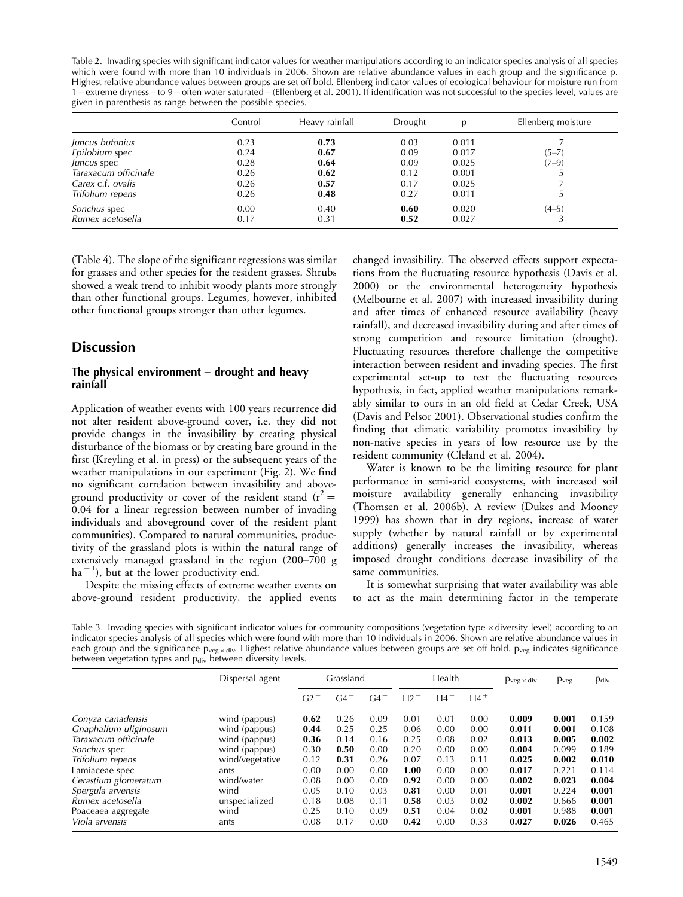Table 2. Invading species with significant indicator values for weather manipulations according to an indicator species analysis of all species which were found with more than 10 individuals in 2006. Shown are relative abundance values in each group and the significance p. Highest relative abundance values between groups are set off bold. Ellenberg indicator values of ecological behaviour for moisture run from  $1 -$  extreme dryness  $-$  to  $9 -$  often water saturated  $-$  (Ellenberg et al. 2001). If identification was not successful to the species level, values are given in parenthesis as range between the possible species.

|                      | Control | Heavy rainfall | Drought | p     | Ellenberg moisture |
|----------------------|---------|----------------|---------|-------|--------------------|
| Juncus bufonius      | 0.23    | 0.73           | 0.03    | 0.011 |                    |
| Epilobium spec       | 0.24    | 0.67           | 0.09    | 0.017 | $(5 - 7)$          |
| Juncus spec          | 0.28    | 0.64           | 0.09    | 0.025 | $(7-9)$            |
| Taraxacum officinale | 0.26    | 0.62           | 0.12    | 0.001 |                    |
| Carex c.f. ovalis    | 0.26    | 0.57           | 0.17    | 0.025 |                    |
| Trifolium repens     | 0.26    | 0.48           | 0.27    | 0.011 |                    |
| Sonchus spec         | 0.00    | 0.40           | 0.60    | 0.020 | $(4-5)$            |
| Rumex acetosella     | 0.17    | 0.31           | 0.52    | 0.027 |                    |

(Table 4). The slope of the significant regressions was similar for grasses and other species for the resident grasses. Shrubs showed a weak trend to inhibit woody plants more strongly than other functional groups. Legumes, however, inhibited other functional groups stronger than other legumes.

# **Discussion**

#### The physical environment  $-$  drought and heavy rainfall

Application of weather events with 100 years recurrence did not alter resident above-ground cover, i.e. they did not provide changes in the invasibility by creating physical disturbance of the biomass or by creating bare ground in the first (Kreyling et al. in press) or the subsequent years of the weather manipulations in our experiment (Fig. 2). We find no significant correlation between invasibility and aboveground productivity or cover of the resident stand  $(r^2 =$ 0.04 for a linear regression between number of invading individuals and aboveground cover of the resident plant communities). Compared to natural communities, productivity of the grassland plots is within the natural range of extensively managed grassland in the region  $(200-700)$  g  $ha^{-1}$ ), but at the lower productivity end.

Despite the missing effects of extreme weather events on above-ground resident productivity, the applied events changed invasibility. The observed effects support expectations from the fluctuating resource hypothesis (Davis et al. 2000) or the environmental heterogeneity hypothesis (Melbourne et al. 2007) with increased invasibility during and after times of enhanced resource availability (heavy rainfall), and decreased invasibility during and after times of strong competition and resource limitation (drought). Fluctuating resources therefore challenge the competitive interaction between resident and invading species. The first experimental set-up to test the fluctuating resources hypothesis, in fact, applied weather manipulations remarkably similar to ours in an old field at Cedar Creek, USA (Davis and Pelsor 2001). Observational studies confirm the finding that climatic variability promotes invasibility by non-native species in years of low resource use by the resident community (Cleland et al. 2004).

Water is known to be the limiting resource for plant performance in semi-arid ecosystems, with increased soil moisture availability generally enhancing invasibility (Thomsen et al. 2006b). A review (Dukes and Mooney 1999) has shown that in dry regions, increase of water supply (whether by natural rainfall or by experimental additions) generally increases the invasibility, whereas imposed drought conditions decrease invasibility of the same communities.

It is somewhat surprising that water availability was able to act as the main determining factor in the temperate

Table 3. Invading species with significant indicator values for community compositions (vegetation type  $\times$  diversity level) according to an indicator species analysis of all species which were found with more than 10 individuals in 2006. Shown are relative abundance values in each group and the significance  $p_{\text{veg} \times \text{div}}$ . Highest relative abundance values between groups are set off bold.  $p_{\text{veg}}$  indicates significance between vegetation types and pdiv between diversity levels.

|                       | Dispersal agent |                | Grassland      |       | Health |        | $p_{\text{veg} \times \text{div}}$ | $p_{\text{veg}}$ | $p_{div}$ |       |
|-----------------------|-----------------|----------------|----------------|-------|--------|--------|------------------------------------|------------------|-----------|-------|
|                       |                 | G <sub>2</sub> | G <sub>4</sub> | $G4+$ | $H2^-$ | $H4^-$ | $H4+$                              |                  |           |       |
| Conyza canadensis     | wind (pappus)   | 0.62           | 0.26           | 0.09  | 0.01   | 0.01   | 0.00                               | 0.009            | 0.001     | 0.159 |
| Gnaphalium uliginosum | wind (pappus)   | 0.44           | 0.25           | 0.25  | 0.06   | 0.00   | 0.00                               | 0.011            | 0.001     | 0.108 |
| Taraxacum officinale  | wind (pappus)   | 0.36           | 0.14           | 0.16  | 0.25   | 0.08   | 0.02                               | 0.013            | 0.005     | 0.002 |
| Sonchus spec          | wind (pappus)   | 0.30           | 0.50           | 0.00  | 0.20   | 0.00   | 0.00                               | 0.004            | 0.099     | 0.189 |
| Trifolium repens      | wind/vegetative | 0.12           | 0.31           | 0.26  | 0.07   | 0.13   | 0.11                               | 0.025            | 0.002     | 0.010 |
| Lamiaceae spec        | ants            | 0.00           | 0.00           | 0.00  | 1.00   | 0.00   | 0.00                               | 0.017            | 0.221     | 0.114 |
| Cerastium glomeratum  | wind/water      | 0.08           | 0.00           | 0.00  | 0.92   | 0.00   | 0.00                               | 0.002            | 0.023     | 0.004 |
| Spergula arvensis     | wind            | 0.05           | 0.10           | 0.03  | 0.81   | 0.00   | 0.01                               | 0.001            | 0.224     | 0.001 |
| Rumex acetosella      | unspecialized   | 0.18           | 0.08           | 0.11  | 0.58   | 0.03   | 0.02                               | 0.002            | 0.666     | 0.001 |
| Poaceaea aggregate    | wind            | 0.25           | 0.10           | 0.09  | 0.51   | 0.04   | 0.02                               | 0.001            | 0.988     | 0.001 |
| Viola arvensis        | ants            | 0.08           | 0.17           | 0.00  | 0.42   | 0.00   | 0.33                               | 0.027            | 0.026     | 0.465 |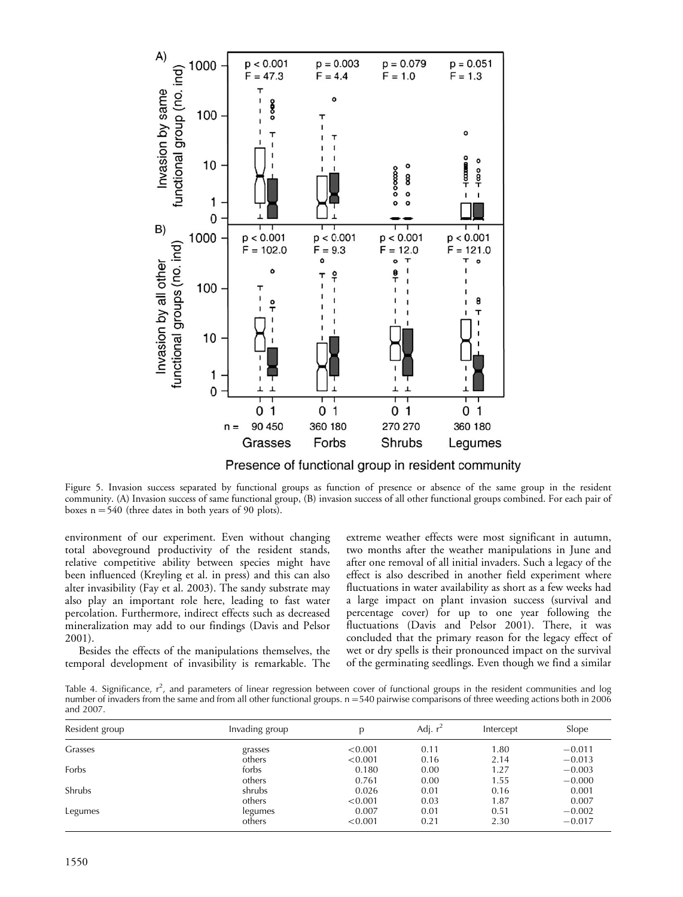

Presence of functional group in resident community

Figure 5. Invasion success separated by functional groups as function of presence or absence of the same group in the resident community. (A) Invasion success of same functional group, (B) invasion success of all other functional groups combined. For each pair of boxes  $n = 540$  (three dates in both years of 90 plots).

environment of our experiment. Even without changing total aboveground productivity of the resident stands, relative competitive ability between species might have been influenced (Kreyling et al. in press) and this can also alter invasibility (Fay et al. 2003). The sandy substrate may also play an important role here, leading to fast water percolation. Furthermore, indirect effects such as decreased mineralization may add to our findings (Davis and Pelsor 2001).

Besides the effects of the manipulations themselves, the temporal development of invasibility is remarkable. The extreme weather effects were most significant in autumn, two months after the weather manipulations in June and after one removal of all initial invaders. Such a legacy of the effect is also described in another field experiment where fluctuations in water availability as short as a few weeks had a large impact on plant invasion success (survival and percentage cover) for up to one year following the fluctuations (Davis and Pelsor 2001). There, it was concluded that the primary reason for the legacy effect of wet or dry spells is their pronounced impact on the survival of the germinating seedlings. Even though we find a similar

Table 4. Significance, r<sup>2</sup>, and parameters of linear regression between cover of functional groups in the resident communities and log number of invaders from the same and from all other functional groups.  $n = 540$  pairwise comparisons of three weeding actions both in 2006 and 2007.

| Resident group | Invading group |         | Adj. $r^2$ | Intercept | Slope    |
|----------------|----------------|---------|------------|-----------|----------|
| Grasses        | grasses        | < 0.001 | 0.11       | 1.80      | $-0.011$ |
|                | others         | < 0.001 | 0.16       | 2.14      | $-0.013$ |
| Forbs          | forbs          | 0.180   | 0.00       | 1.27      | $-0.003$ |
|                | others         | 0.761   | 0.00       | 1.55      | $-0.000$ |
| Shrubs         | shrubs         | 0.026   | 0.01       | 0.16      | 0.001    |
|                | others         | < 0.001 | 0.03       | 1.87      | 0.007    |
| Legumes        | legumes        | 0.007   | 0.01       | 0.51      | $-0.002$ |
|                | others         | < 0.001 | 0.21       | 2.30      | $-0.017$ |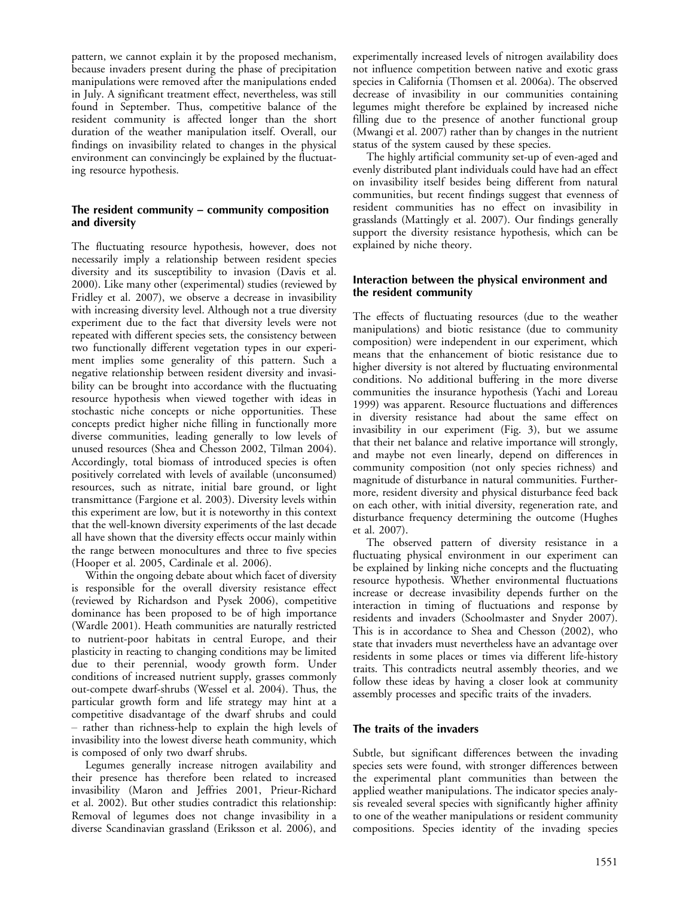pattern, we cannot explain it by the proposed mechanism, because invaders present during the phase of precipitation manipulations were removed after the manipulations ended in July. A significant treatment effect, nevertheless, was still found in September. Thus, competitive balance of the resident community is affected longer than the short duration of the weather manipulation itself. Overall, our findings on invasibility related to changes in the physical environment can convincingly be explained by the fluctuating resource hypothesis.

# The resident community  $-$  community composition and diversity

The fluctuating resource hypothesis, however, does not necessarily imply a relationship between resident species diversity and its susceptibility to invasion (Davis et al. 2000). Like many other (experimental) studies (reviewed by Fridley et al. 2007), we observe a decrease in invasibility with increasing diversity level. Although not a true diversity experiment due to the fact that diversity levels were not repeated with different species sets, the consistency between two functionally different vegetation types in our experiment implies some generality of this pattern. Such a negative relationship between resident diversity and invasibility can be brought into accordance with the fluctuating resource hypothesis when viewed together with ideas in stochastic niche concepts or niche opportunities. These concepts predict higher niche filling in functionally more diverse communities, leading generally to low levels of unused resources (Shea and Chesson 2002, Tilman 2004). Accordingly, total biomass of introduced species is often positively correlated with levels of available (unconsumed) resources, such as nitrate, initial bare ground, or light transmittance (Fargione et al. 2003). Diversity levels within this experiment are low, but it is noteworthy in this context that the well-known diversity experiments of the last decade all have shown that the diversity effects occur mainly within the range between monocultures and three to five species (Hooper et al. 2005, Cardinale et al. 2006).

Within the ongoing debate about which facet of diversity is responsible for the overall diversity resistance effect (reviewed by Richardson and Pysek 2006), competitive dominance has been proposed to be of high importance (Wardle 2001). Heath communities are naturally restricted to nutrient-poor habitats in central Europe, and their plasticity in reacting to changing conditions may be limited due to their perennial, woody growth form. Under conditions of increased nutrient supply, grasses commonly out-compete dwarf-shrubs (Wessel et al. 2004). Thus, the particular growth form and life strategy may hint at a competitive disadvantage of the dwarf shrubs and could - rather than richness-help to explain the high levels of invasibility into the lowest diverse heath community, which is composed of only two dwarf shrubs.

Legumes generally increase nitrogen availability and their presence has therefore been related to increased invasibility (Maron and Jeffries 2001, Prieur-Richard et al. 2002). But other studies contradict this relationship: Removal of legumes does not change invasibility in a diverse Scandinavian grassland (Eriksson et al. 2006), and experimentally increased levels of nitrogen availability does not influence competition between native and exotic grass species in California (Thomsen et al. 2006a). The observed decrease of invasibility in our communities containing legumes might therefore be explained by increased niche filling due to the presence of another functional group (Mwangi et al. 2007) rather than by changes in the nutrient status of the system caused by these species.

The highly artificial community set-up of even-aged and evenly distributed plant individuals could have had an effect on invasibility itself besides being different from natural communities, but recent findings suggest that evenness of resident communities has no effect on invasibility in grasslands (Mattingly et al. 2007). Our findings generally support the diversity resistance hypothesis, which can be explained by niche theory.

#### Interaction between the physical environment and the resident community

The effects of fluctuating resources (due to the weather manipulations) and biotic resistance (due to community composition) were independent in our experiment, which means that the enhancement of biotic resistance due to higher diversity is not altered by fluctuating environmental conditions. No additional buffering in the more diverse communities the insurance hypothesis (Yachi and Loreau 1999) was apparent. Resource fluctuations and differences in diversity resistance had about the same effect on invasibility in our experiment (Fig. 3), but we assume that their net balance and relative importance will strongly, and maybe not even linearly, depend on differences in community composition (not only species richness) and magnitude of disturbance in natural communities. Furthermore, resident diversity and physical disturbance feed back on each other, with initial diversity, regeneration rate, and disturbance frequency determining the outcome (Hughes et al. 2007).

The observed pattern of diversity resistance in a fluctuating physical environment in our experiment can be explained by linking niche concepts and the fluctuating resource hypothesis. Whether environmental fluctuations increase or decrease invasibility depends further on the interaction in timing of fluctuations and response by residents and invaders (Schoolmaster and Snyder 2007). This is in accordance to Shea and Chesson (2002), who state that invaders must nevertheless have an advantage over residents in some places or times via different life-history traits. This contradicts neutral assembly theories, and we follow these ideas by having a closer look at community assembly processes and specific traits of the invaders.

## The traits of the invaders

Subtle, but significant differences between the invading species sets were found, with stronger differences between the experimental plant communities than between the applied weather manipulations. The indicator species analysis revealed several species with significantly higher affinity to one of the weather manipulations or resident community compositions. Species identity of the invading species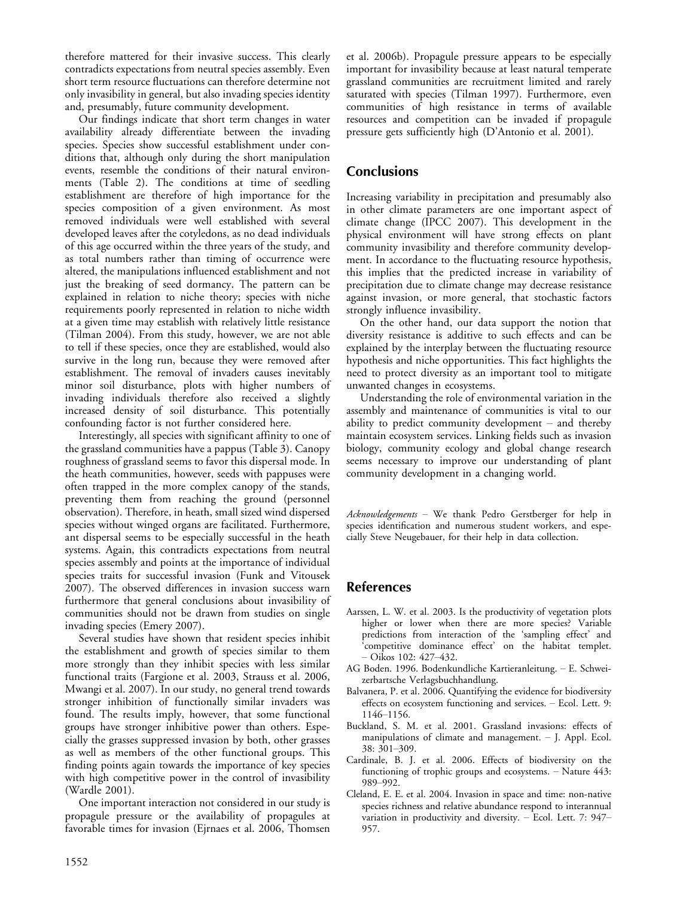therefore mattered for their invasive success. This clearly contradicts expectations from neutral species assembly. Even short term resource fluctuations can therefore determine not only invasibility in general, but also invading species identity and, presumably, future community development.

Our findings indicate that short term changes in water availability already differentiate between the invading species. Species show successful establishment under conditions that, although only during the short manipulation events, resemble the conditions of their natural environments (Table 2). The conditions at time of seedling establishment are therefore of high importance for the species composition of a given environment. As most removed individuals were well established with several developed leaves after the cotyledons, as no dead individuals of this age occurred within the three years of the study, and as total numbers rather than timing of occurrence were altered, the manipulations influenced establishment and not just the breaking of seed dormancy. The pattern can be explained in relation to niche theory; species with niche requirements poorly represented in relation to niche width at a given time may establish with relatively little resistance (Tilman 2004). From this study, however, we are not able to tell if these species, once they are established, would also survive in the long run, because they were removed after establishment. The removal of invaders causes inevitably minor soil disturbance, plots with higher numbers of invading individuals therefore also received a slightly increased density of soil disturbance. This potentially confounding factor is not further considered here.

Interestingly, all species with significant affinity to one of the grassland communities have a pappus (Table 3). Canopy roughness of grassland seems to favor this dispersal mode. In the heath communities, however, seeds with pappuses were often trapped in the more complex canopy of the stands, preventing them from reaching the ground (personnel observation). Therefore, in heath, small sized wind dispersed species without winged organs are facilitated. Furthermore, ant dispersal seems to be especially successful in the heath systems. Again, this contradicts expectations from neutral species assembly and points at the importance of individual species traits for successful invasion (Funk and Vitousek 2007). The observed differences in invasion success warn furthermore that general conclusions about invasibility of communities should not be drawn from studies on single invading species (Emery 2007).

Several studies have shown that resident species inhibit the establishment and growth of species similar to them more strongly than they inhibit species with less similar functional traits (Fargione et al. 2003, Strauss et al. 2006, Mwangi et al. 2007). In our study, no general trend towards stronger inhibition of functionally similar invaders was found. The results imply, however, that some functional groups have stronger inhibitive power than others. Especially the grasses suppressed invasion by both, other grasses as well as members of the other functional groups. This finding points again towards the importance of key species with high competitive power in the control of invasibility (Wardle 2001).

One important interaction not considered in our study is propagule pressure or the availability of propagules at favorable times for invasion (Ejrnaes et al. 2006, Thomsen et al. 2006b). Propagule pressure appears to be especially important for invasibility because at least natural temperate grassland communities are recruitment limited and rarely saturated with species (Tilman 1997). Furthermore, even communities of high resistance in terms of available resources and competition can be invaded if propagule pressure gets sufficiently high (D'Antonio et al. 2001).

# **Conclusions**

Increasing variability in precipitation and presumably also in other climate parameters are one important aspect of climate change (IPCC 2007). This development in the physical environment will have strong effects on plant community invasibility and therefore community development. In accordance to the fluctuating resource hypothesis, this implies that the predicted increase in variability of precipitation due to climate change may decrease resistance against invasion, or more general, that stochastic factors strongly influence invasibility.

On the other hand, our data support the notion that diversity resistance is additive to such effects and can be explained by the interplay between the fluctuating resource hypothesis and niche opportunities. This fact highlights the need to protect diversity as an important tool to mitigate unwanted changes in ecosystems.

Understanding the role of environmental variation in the assembly and maintenance of communities is vital to our ability to predict community development  $-$  and thereby maintain ecosystem services. Linking fields such as invasion biology, community ecology and global change research seems necessary to improve our understanding of plant community development in a changing world.

Acknowledgements - We thank Pedro Gerstberger for help in species identification and numerous student workers, and especially Steve Neugebauer, for their help in data collection.

# References

- Aarssen, L. W. et al. 2003. Is the productivity of vegetation plots higher or lower when there are more species? Variable predictions from interaction of the 'sampling effect' and 'competitive dominance effect' on the habitat templet. - Oikos 102: 427–432.
- AG Boden. 1996. Bodenkundliche Kartieranleitung. E. Schweizerbartsche Verlagsbuchhandlung.
- Balvanera, P. et al. 2006. Quantifying the evidence for biodiversity effects on ecosystem functioning and services. - Ecol. Lett. 9: 1146-1156.
- Buckland, S. M. et al. 2001. Grassland invasions: effects of manipulations of climate and management.  $-$  J. Appl. Ecol. 38: 301-309.
- Cardinale, B. J. et al. 2006. Effects of biodiversity on the functioning of trophic groups and ecosystems. - Nature 443: 989-992.
- Cleland, E. E. et al. 2004. Invasion in space and time: non-native species richness and relative abundance respond to interannual variation in productivity and diversity.  $-$  Ecol. Lett. 7: 947 $-$ 957.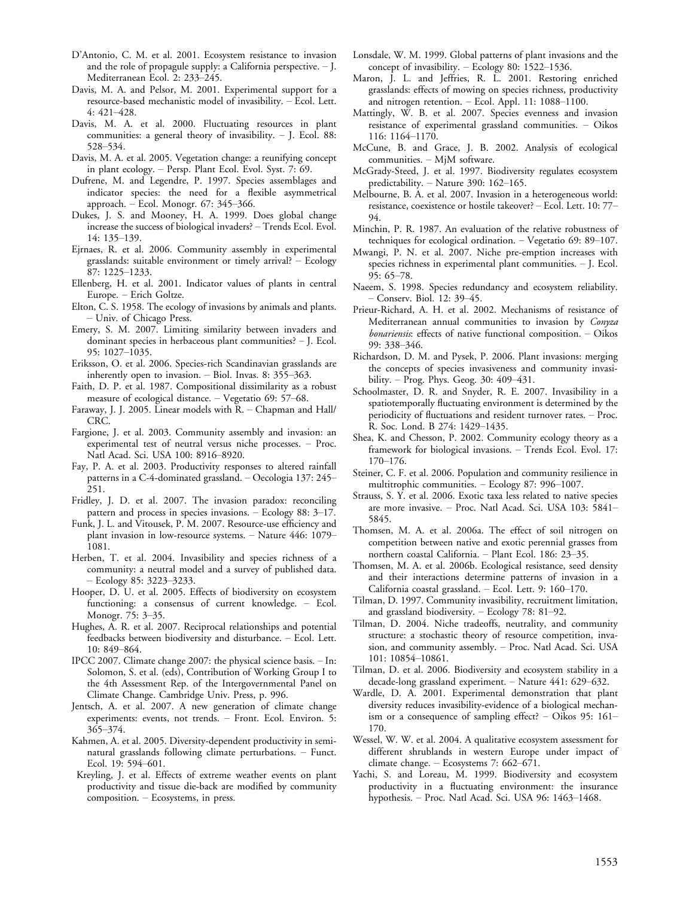- D'Antonio, C. M. et al. 2001. Ecosystem resistance to invasion and the role of propagule supply: a California perspective.  $-J$ . Mediterranean Ecol. 2: 233-245.
- Davis, M. A. and Pelsor, M. 2001. Experimental support for a resource-based mechanistic model of invasibility. - Ecol. Lett.  $4:421-428$ .
- Davis, M. A. et al. 2000. Fluctuating resources in plant communities: a general theory of invasibility.  $-$  J. Ecol. 88: 528-534.
- Davis, M. A. et al. 2005. Vegetation change: a reunifying concept in plant ecology. – Persp. Plant Ecol. Evol. Syst. 7: 69.
- Dufrene, M. and Legendre, P. 1997. Species assemblages and indicator species: the need for a flexible asymmetrical approach. - Ecol. Monogr. 67: 345-366.
- Dukes, J. S. and Mooney, H. A. 1999. Does global change increase the success of biological invaders? – Trends Ecol. Evol. 14: 135-139.
- Ejrnaes, R. et al. 2006. Community assembly in experimental grasslands: suitable environment or timely arrival? Ecology 87: 1225-1233.
- Ellenberg, H. et al. 2001. Indicator values of plants in central Europe. Erich Goltze.
- Elton, C. S. 1958. The ecology of invasions by animals and plants. - Univ. of Chicago Press.
- Emery, S. M. 2007. Limiting similarity between invaders and dominant species in herbaceous plant communities?  $-$  J. Ecol. 95: 1027-1035.
- Eriksson, O. et al. 2006. Species-rich Scandinavian grasslands are inherently open to invasion.  $-$  Biol. Invas. 8: 355-363.
- Faith, D. P. et al. 1987. Compositional dissimilarity as a robust measure of ecological distance.  $-$  Vegetatio 69: 57–68.
- Faraway, J. J. 2005. Linear models with R. Chapman and Hall/ CRC.
- Fargione, J. et al. 2003. Community assembly and invasion: an experimental test of neutral versus niche processes.  $-$  Proc. Natl Acad. Sci. USA 100: 8916-8920.
- Fay, P. A. et al. 2003. Productivity responses to altered rainfall patterns in a C-4-dominated grassland. - Oecologia 137: 245-251.
- Fridley, J. D. et al. 2007. The invasion paradox: reconciling pattern and process in species invasions.  $-$  Ecology 88: 3-17.
- Funk, J. L. and Vitousek, P. M. 2007. Resource-use efficiency and plant invasion in low-resource systems. - Nature 446: 1079-1081.
- Herben, T. et al. 2004. Invasibility and species richness of a community: a neutral model and a survey of published data. - Ecology 85: 3223-3233.
- Hooper, D. U. et al. 2005. Effects of biodiversity on ecosystem functioning: a consensus of current knowledge.  $-$  Ecol. Monogr. 75: 3-35.
- Hughes, A. R. et al. 2007. Reciprocal relationships and potential feedbacks between biodiversity and disturbance. - Ecol. Lett. 10: 849-864.
- IPCC 2007. Climate change 2007: the physical science basis. In: Solomon, S. et al. (eds), Contribution of Working Group I to the 4th Assessment Rep. of the Intergovernmental Panel on Climate Change. Cambridge Univ. Press, p. 996.
- Jentsch, A. et al. 2007. A new generation of climate change experiments: events, not trends. - Front. Ecol. Environ. 5: 365374.
- Kahmen, A. et al. 2005. Diversity-dependent productivity in seminatural grasslands following climate perturbations. Funct. Ecol.  $19: 594-601$ .
- Kreyling, J. et al. Effects of extreme weather events on plant productivity and tissue die-back are modified by community composition. Ecosystems, in press.
- Lonsdale, W. M. 1999. Global patterns of plant invasions and the concept of invasibility. - Ecology 80: 1522-1536.
- Maron, J. L. and Jeffries, R. L. 2001. Restoring enriched grasslands: effects of mowing on species richness, productivity and nitrogen retention.  $-$  Ecol. Appl. 11: 1088-1100.
- Mattingly, W. B. et al. 2007. Species evenness and invasion resistance of experimental grassland communities. Oikos 116: 1164-1170.
- McCune, B. and Grace, J. B. 2002. Analysis of ecological communities. - MjM software.

McGrady-Steed, J. et al. 1997. Biodiversity regulates ecosystem predictability.  $-$  Nature 390: 162-165.

- Melbourne, B. A. et al. 2007. Invasion in a heterogeneous world: resistance, coexistence or hostile takeover? - Ecol. Lett. 10: 77-94.
- Minchin, P. R. 1987. An evaluation of the relative robustness of techniques for ecological ordination.  $-$  Vegetatio 69: 89–107.
- Mwangi, P. N. et al. 2007. Niche pre-emption increases with species richness in experimental plant communities. - J. Ecol. 95: 65-78.
- Naeem, S. 1998. Species redundancy and ecosystem reliability. - Conserv. Biol. 12: 39-45.
- Prieur-Richard, A. H. et al. 2002. Mechanisms of resistance of Mediterranean annual communities to invasion by Conyza  $\textit{bonariensis}$ : effects of native functional composition. - Oikos 99: 338-346.
- Richardson, D. M. and Pysek, P. 2006. Plant invasions: merging the concepts of species invasiveness and community invasibility. - Prog. Phys. Geog. 30: 409-431.
- Schoolmaster, D. R. and Snyder, R. E. 2007. Invasibility in a spatiotemporally fluctuating environment is determined by the periodicity of fluctuations and resident turnover rates.  $-$  Proc. R. Soc. Lond. B 274: 1429-1435.
- Shea, K. and Chesson, P. 2002. Community ecology theory as a framework for biological invasions. Trends Ecol. Evol. 17:  $170 - 176$ .
- Steiner, C. F. et al. 2006. Population and community resilience in multitrophic communities. - Ecology 87: 996-1007.
- Strauss, S. Y. et al. 2006. Exotic taxa less related to native species are more invasive. - Proc. Natl Acad. Sci. USA 103: 5841-5845.
- Thomsen, M. A. et al. 2006a. The effect of soil nitrogen on competition between native and exotic perennial grasses from northern coastal California. - Plant Ecol. 186: 23-35.
- Thomsen, M. A. et al. 2006b. Ecological resistance, seed density and their interactions determine patterns of invasion in a California coastal grassland.  $-$  Ecol. Lett. 9: 160-170.
- Tilman, D. 1997. Community invasibility, recruitment limitation, and grassland biodiversity.  $-$  Ecology 78: 81–92.
- Tilman, D. 2004. Niche tradeoffs, neutrality, and community structure: a stochastic theory of resource competition, invasion, and community assembly. - Proc. Natl Acad. Sci. USA 101: 10854-10861.
- Tilman, D. et al. 2006. Biodiversity and ecosystem stability in a decade-long grassland experiment. - Nature 441: 629-632.
- Wardle, D. A. 2001. Experimental demonstration that plant diversity reduces invasibility-evidence of a biological mechanism or a consequence of sampling effect?  $-$  Oikos 95: 161 $-$ 170.
- Wessel, W. W. et al. 2004. A qualitative ecosystem assessment for different shrublands in western Europe under impact of climate change.  $-$  Ecosystems 7: 662–671.
- Yachi, S. and Loreau, M. 1999. Biodiversity and ecosystem productivity in a fluctuating environment: the insurance hypothesis. - Proc. Natl Acad. Sci. USA 96: 1463-1468.